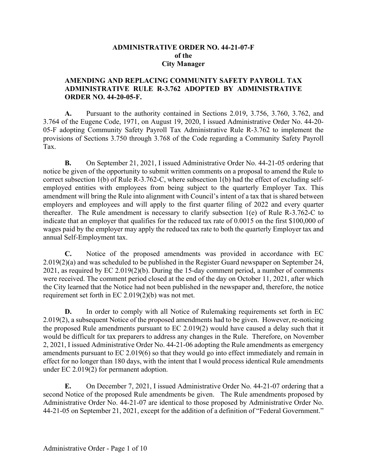### **ADMINISTRATIVE ORDER NO. 44-21-07-F of the City Manager**

### **AMENDING AND REPLACING COMMUNITY SAFETY PAYROLL TAX ADMINISTRATIVE RULE R-3.762 ADOPTED BY ADMINISTRATIVE ORDER NO. 44-20-05-F.**

**A.** Pursuant to the authority contained in Sections 2.019, 3.756, 3.760, 3.762, and 3.764 of the Eugene Code, 1971, on August 19, 2020, I issued Administrative Order No. 44-20- 05-F adopting Community Safety Payroll Tax Administrative Rule R-3.762 to implement the provisions of Sections 3.750 through 3.768 of the Code regarding a Community Safety Payroll Tax.

**B.** On September 21, 2021, I issued Administrative Order No. 44-21-05 ordering that notice be given of the opportunity to submit written comments on a proposal to amend the Rule to correct subsection 1(b) of Rule R-3.762-C, where subsection 1(b) had the effect of excluding selfemployed entities with employees from being subject to the quarterly Employer Tax. This amendment will bring the Rule into alignment with Council's intent of a tax that is shared between employers and employees and will apply to the first quarter filing of 2022 and every quarter thereafter. The Rule amendment is necessary to clarify subsection 1(e) of Rule R-3.762-C to indicate that an employer that qualifies for the reduced tax rate of 0.0015 on the first \$100,000 of wages paid by the employer may apply the reduced tax rate to both the quarterly Employer tax and annual Self-Employment tax.

**C.** Notice of the proposed amendments was provided in accordance with EC 2.019(2)(a) and was scheduled to be published in the Register Guard newspaper on September 24, 2021, as required by EC 2.019(2)(b). During the 15-day comment period, a number of comments were received. The comment period closed at the end of the day on October 11, 2021, after which the City learned that the Notice had not been published in the newspaper and, therefore, the notice requirement set forth in EC 2.019(2)(b) was not met.

**D.** In order to comply with all Notice of Rulemaking requirements set forth in EC 2.019(2), a subsequent Notice of the proposed amendments had to be given. However, re-noticing the proposed Rule amendments pursuant to EC 2.019(2) would have caused a delay such that it would be difficult for tax preparers to address any changes in the Rule. Therefore, on November 2, 2021, I issued Administrative Order No. 44-21-06 adopting the Rule amendments as emergency amendments pursuant to EC 2.019(6) so that they would go into effect immediately and remain in effect for no longer than 180 days, with the intent that I would process identical Rule amendments under EC 2.019(2) for permanent adoption.

**E.** On December 7, 2021, I issued Administrative Order No. 44-21-07 ordering that a second Notice of the proposed Rule amendments be given. The Rule amendments proposed by Administrative Order No. 44-21-07 are identical to those proposed by Administrative Order No. 44-21-05 on September 21, 2021, except for the addition of a definition of "Federal Government."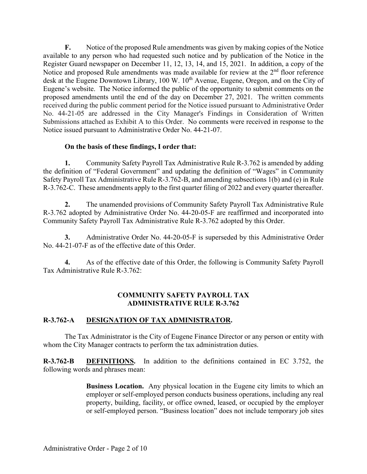**F.** Notice of the proposed Rule amendments was given by making copies of the Notice available to any person who had requested such notice and by publication of the Notice in the Register Guard newspaper on December 11, 12, 13, 14, and 15, 2021. In addition, a copy of the Notice and proposed Rule amendments was made available for review at the  $2<sup>nd</sup>$  floor reference desk at the Eugene Downtown Library, 100 W. 10<sup>th</sup> Avenue, Eugene, Oregon, and on the City of Eugene's website. The Notice informed the public of the opportunity to submit comments on the proposed amendments until the end of the day on December 27, 2021. The written comments received during the public comment period for the Notice issued pursuant to Administrative Order No. 44-21-05 are addressed in the City Manager's Findings in Consideration of Written Submissions attached as Exhibit A to this Order. No comments were received in response to the Notice issued pursuant to Administrative Order No. 44-21-07.

### **On the basis of these findings, I order that:**

**1.** Community Safety Payroll Tax Administrative Rule R-3.762 is amended by adding the definition of "Federal Government" and updating the definition of "Wages" in Community Safety Payroll Tax Administrative Rule R-3.762-B, and amending subsections 1(b) and (e) in Rule R-3.762-C. These amendments apply to the first quarter filing of 2022 and every quarter thereafter.

**2.** The unamended provisions of Community Safety Payroll Tax Administrative Rule R-3.762 adopted by Administrative Order No. 44-20-05-F are reaffirmed and incorporated into Community Safety Payroll Tax Administrative Rule R-3.762 adopted by this Order.

**3.** Administrative Order No. 44-20-05-F is superseded by this Administrative Order No. 44-21-07-F as of the effective date of this Order.

**4.** As of the effective date of this Order, the following is Community Safety Payroll Tax Administrative Rule R-3.762:

### **COMMUNITY SAFETY PAYROLL TAX ADMINISTRATIVE RULE R-3.762**

### **R-3.762-A DESIGNATION OF TAX ADMINISTRATOR.**

The Tax Administrator is the City of Eugene Finance Director or any person or entity with whom the City Manager contracts to perform the tax administration duties.

**R-3.762-B DEFINITIONS.** In addition to the definitions contained in EC 3.752, the following words and phrases mean:

> **Business Location.** Any physical location in the Eugene city limits to which an employer or self-employed person conducts business operations, including any real property, building, facility, or office owned, leased, or occupied by the employer or self-employed person. "Business location" does not include temporary job sites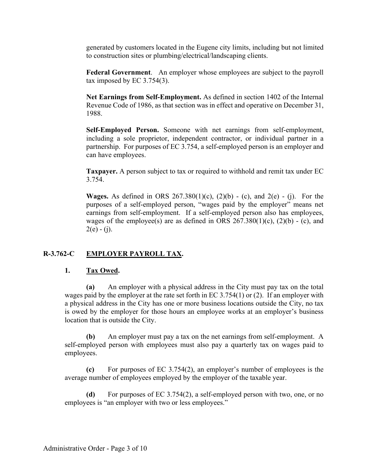generated by customers located in the Eugene city limits, including but not limited to construction sites or plumbing/electrical/landscaping clients.

**Federal Government**. An employer whose employees are subject to the payroll tax imposed by EC 3.754(3).

**Net Earnings from Self-Employment.** As defined in section 1402 of the Internal Revenue Code of 1986, as that section was in effect and operative on December 31, 1988.

**Self-Employed Person.** Someone with net earnings from self-employment, including a sole proprietor, independent contractor, or individual partner in a partnership. For purposes of EC 3.754, a self-employed person is an employer and can have employees.

**Taxpayer.** A person subject to tax or required to withhold and remit tax under EC 3.754.

**Wages.** As defined in ORS  $267.380(1)(c)$ ,  $(2)(b)$  - (c), and  $2(e)$  - (j). For the purposes of a self-employed person, "wages paid by the employer" means net earnings from self-employment. If a self-employed person also has employees, wages of the employee(s) are as defined in ORS  $267.380(1)(c)$ ,  $(2)(b)$  - (c), and  $2(e) - (i)$ .

## **R-3.762-C EMPLOYER PAYROLL TAX.**

## **1. Tax Owed.**

**(a)** An employer with a physical address in the City must pay tax on the total wages paid by the employer at the rate set forth in EC 3.754(1) or (2). If an employer with a physical address in the City has one or more business locations outside the City, no tax is owed by the employer for those hours an employee works at an employer's business location that is outside the City.

**(b)** An employer must pay a tax on the net earnings from self-employment. A self-employed person with employees must also pay a quarterly tax on wages paid to employees.

**(c)** For purposes of EC 3.754(2), an employer's number of employees is the average number of employees employed by the employer of the taxable year.

**(d)** For purposes of EC 3.754(2), a self-employed person with two, one, or no employees is "an employer with two or less employees."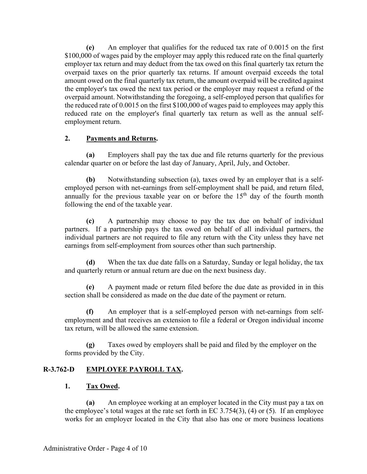**(e)** An employer that qualifies for the reduced tax rate of 0.0015 on the first \$100,000 of wages paid by the employer may apply this reduced rate on the final quarterly employer tax return and may deduct from the tax owed on this final quarterly tax return the overpaid taxes on the prior quarterly tax returns. If amount overpaid exceeds the total amount owed on the final quarterly tax return, the amount overpaid will be credited against the employer's tax owed the next tax period or the employer may request a refund of the overpaid amount. Notwithstanding the foregoing, a self-employed person that qualifies for the reduced rate of 0.0015 on the first \$100,000 of wages paid to employees may apply this reduced rate on the employer's final quarterly tax return as well as the annual selfemployment return.

## **2. Payments and Returns.**

**(a)** Employers shall pay the tax due and file returns quarterly for the previous calendar quarter on or before the last day of January, April, July, and October.

**(b)** Notwithstanding subsection (a), taxes owed by an employer that is a selfemployed person with net-earnings from self-employment shall be paid, and return filed, annually for the previous taxable year on or before the  $15<sup>th</sup>$  day of the fourth month following the end of the taxable year.

**(c)** A partnership may choose to pay the tax due on behalf of individual partners. If a partnership pays the tax owed on behalf of all individual partners, the individual partners are not required to file any return with the City unless they have net earnings from self-employment from sources other than such partnership.

**(d)** When the tax due date falls on a Saturday, Sunday or legal holiday, the tax and quarterly return or annual return are due on the next business day.

**(e)** A payment made or return filed before the due date as provided in in this section shall be considered as made on the due date of the payment or return.

**(f)** An employer that is a self-employed person with net-earnings from selfemployment and that receives an extension to file a federal or Oregon individual income tax return, will be allowed the same extension.

**(g)** Taxes owed by employers shall be paid and filed by the employer on the forms provided by the City.

## **R-3.762-D EMPLOYEE PAYROLL TAX.**

## **1. Tax Owed.**

**(a)** An employee working at an employer located in the City must pay a tax on the employee's total wages at the rate set forth in  $EC$  3.754(3), (4) or (5). If an employee works for an employer located in the City that also has one or more business locations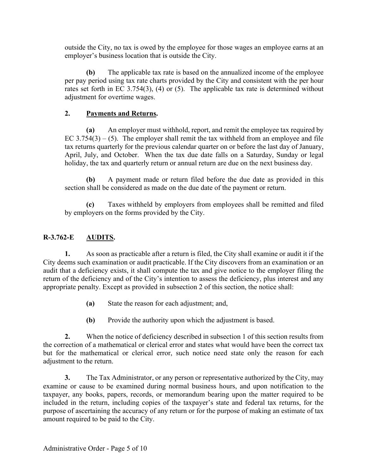outside the City, no tax is owed by the employee for those wages an employee earns at an employer's business location that is outside the City.

**(b)** The applicable tax rate is based on the annualized income of the employee per pay period using tax rate charts provided by the City and consistent with the per hour rates set forth in EC 3.754(3), (4) or (5). The applicable tax rate is determined without adjustment for overtime wages.

## **2. Payments and Returns.**

**(a)** An employer must withhold, report, and remit the employee tax required by EC  $3.754(3) - (5)$ . The employer shall remit the tax withheld from an employee and file tax returns quarterly for the previous calendar quarter on or before the last day of January, April, July, and October. When the tax due date falls on a Saturday, Sunday or legal holiday, the tax and quarterly return or annual return are due on the next business day.

**(b)** A payment made or return filed before the due date as provided in this section shall be considered as made on the due date of the payment or return.

**(c)** Taxes withheld by employers from employees shall be remitted and filed by employers on the forms provided by the City.

## **R-3.762-E AUDITS.**

**1.** As soon as practicable after a return is filed, the City shall examine or audit it if the City deems such examination or audit practicable. If the City discovers from an examination or an audit that a deficiency exists, it shall compute the tax and give notice to the employer filing the return of the deficiency and of the City's intention to assess the deficiency, plus interest and any appropriate penalty. Except as provided in subsection 2 of this section, the notice shall:

- **(a)** State the reason for each adjustment; and,
- **(b)** Provide the authority upon which the adjustment is based.

**2.** When the notice of deficiency described in subsection 1 of this section results from the correction of a mathematical or clerical error and states what would have been the correct tax but for the mathematical or clerical error, such notice need state only the reason for each adjustment to the return.

**3.** The Tax Administrator, or any person or representative authorized by the City, may examine or cause to be examined during normal business hours, and upon notification to the taxpayer, any books, papers, records, or memorandum bearing upon the matter required to be included in the return, including copies of the taxpayer's state and federal tax returns, for the purpose of ascertaining the accuracy of any return or for the purpose of making an estimate of tax amount required to be paid to the City.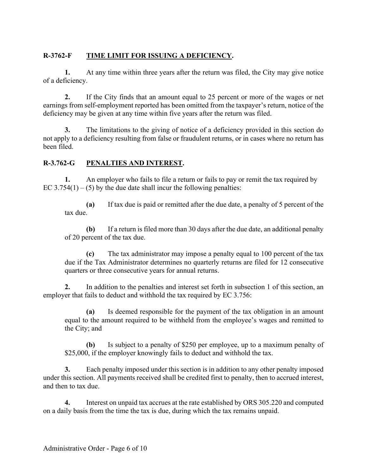# **R-3762-F TIME LIMIT FOR ISSUING A DEFICIENCY.**

**1.** At any time within three years after the return was filed, the City may give notice of a deficiency.

**2.** If the City finds that an amount equal to 25 percent or more of the wages or net earnings from self-employment reported has been omitted from the taxpayer's return, notice of the deficiency may be given at any time within five years after the return was filed.

**3.** The limitations to the giving of notice of a deficiency provided in this section do not apply to a deficiency resulting from false or fraudulent returns, or in cases where no return has been filed.

## **R-3.762-G PENALTIES AND INTEREST.**

**1.** An employer who fails to file a return or fails to pay or remit the tax required by EC  $3.754(1) - (5)$  by the due date shall incur the following penalties:

**(a)** If tax due is paid or remitted after the due date, a penalty of 5 percent of the tax due.

**(b)** If a return is filed more than 30 days after the due date, an additional penalty of 20 percent of the tax due.

**(c)** The tax administrator may impose a penalty equal to 100 percent of the tax due if the Tax Administrator determines no quarterly returns are filed for 12 consecutive quarters or three consecutive years for annual returns.

**2.** In addition to the penalties and interest set forth in subsection 1 of this section, an employer that fails to deduct and withhold the tax required by EC 3.756:

**(a)** Is deemed responsible for the payment of the tax obligation in an amount equal to the amount required to be withheld from the employee's wages and remitted to the City; and

**(b)** Is subject to a penalty of \$250 per employee, up to a maximum penalty of \$25,000, if the employer knowingly fails to deduct and withhold the tax.

**3.** Each penalty imposed under this section is in addition to any other penalty imposed under this section. All payments received shall be credited first to penalty, then to accrued interest, and then to tax due.

**4.** Interest on unpaid tax accrues at the rate established by ORS 305.220 and computed on a daily basis from the time the tax is due, during which the tax remains unpaid.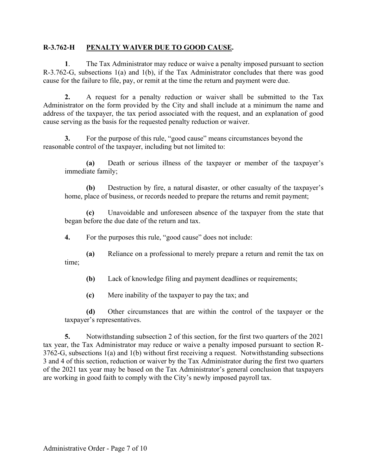### **R-3.762-H PENALTY WAIVER DUE TO GOOD CAUSE.**

**1**. The Tax Administrator may reduce or waive a penalty imposed pursuant to section R-3.762-G, subsections 1(a) and 1(b), if the Tax Administrator concludes that there was good cause for the failure to file, pay, or remit at the time the return and payment were due.

**2.** A request for a penalty reduction or waiver shall be submitted to the Tax Administrator on the form provided by the City and shall include at a minimum the name and address of the taxpayer, the tax period associated with the request, and an explanation of good cause serving as the basis for the requested penalty reduction or waiver.

**3.** For the purpose of this rule, "good cause" means circumstances beyond the reasonable control of the taxpayer, including but not limited to:

**(a)** Death or serious illness of the taxpayer or member of the taxpayer's immediate family;

**(b)** Destruction by fire, a natural disaster, or other casualty of the taxpayer's home, place of business, or records needed to prepare the returns and remit payment;

**(c)** Unavoidable and unforeseen absence of the taxpayer from the state that began before the due date of the return and tax.

**4.** For the purposes this rule, "good cause" does not include:

**(a)** Reliance on a professional to merely prepare a return and remit the tax on time;

**(b)** Lack of knowledge filing and payment deadlines or requirements;

**(c)** Mere inability of the taxpayer to pay the tax; and

**(d)** Other circumstances that are within the control of the taxpayer or the taxpayer's representatives.

**5.** Notwithstanding subsection 2 of this section, for the first two quarters of the 2021 tax year, the Tax Administrator may reduce or waive a penalty imposed pursuant to section R-3762-G, subsections 1(a) and 1(b) without first receiving a request. Notwithstanding subsections 3 and 4 of this section, reduction or waiver by the Tax Administrator during the first two quarters of the 2021 tax year may be based on the Tax Administrator's general conclusion that taxpayers are working in good faith to comply with the City's newly imposed payroll tax.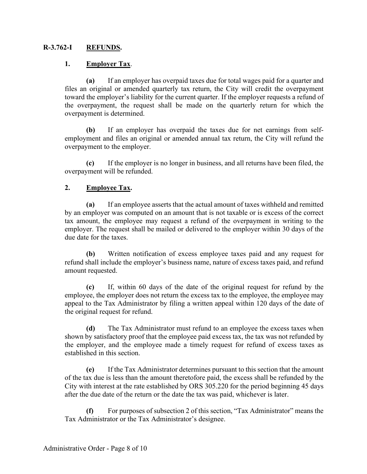### **R-3.762-I REFUNDS.**

### **1. Employer Tax**.

**(a)** If an employer has overpaid taxes due for total wages paid for a quarter and files an original or amended quarterly tax return, the City will credit the overpayment toward the employer's liability for the current quarter. If the employer requests a refund of the overpayment, the request shall be made on the quarterly return for which the overpayment is determined.

**(b)** If an employer has overpaid the taxes due for net earnings from selfemployment and files an original or amended annual tax return, the City will refund the overpayment to the employer.

**(c)** If the employer is no longer in business, and all returns have been filed, the overpayment will be refunded.

### **2. Employee Tax.**

**(a)** If an employee asserts that the actual amount of taxes withheld and remitted by an employer was computed on an amount that is not taxable or is excess of the correct tax amount, the employee may request a refund of the overpayment in writing to the employer. The request shall be mailed or delivered to the employer within 30 days of the due date for the taxes.

**(b)** Written notification of excess employee taxes paid and any request for refund shall include the employer's business name, nature of excess taxes paid, and refund amount requested.

**(c)** If, within 60 days of the date of the original request for refund by the employee, the employer does not return the excess tax to the employee, the employee may appeal to the Tax Administrator by filing a written appeal within 120 days of the date of the original request for refund.

**(d)** The Tax Administrator must refund to an employee the excess taxes when shown by satisfactory proof that the employee paid excess tax, the tax was not refunded by the employer, and the employee made a timely request for refund of excess taxes as established in this section.

**(e)** If the Tax Administrator determines pursuant to this section that the amount of the tax due is less than the amount theretofore paid, the excess shall be refunded by the City with interest at the rate established by ORS 305.220 for the period beginning 45 days after the due date of the return or the date the tax was paid, whichever is later.

**(f)** For purposes of subsection 2 of this section, "Tax Administrator" means the Tax Administrator or the Tax Administrator's designee.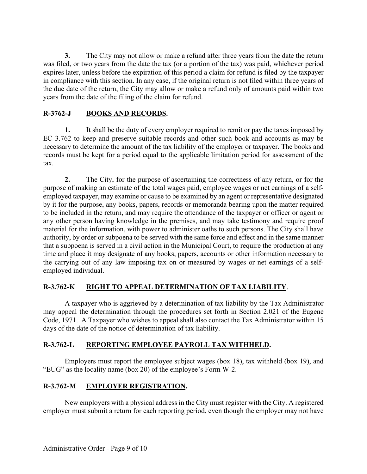**3.** The City may not allow or make a refund after three years from the date the return was filed, or two years from the date the tax (or a portion of the tax) was paid, whichever period expires later, unless before the expiration of this period a claim for refund is filed by the taxpayer in compliance with this section. In any case, if the original return is not filed within three years of the due date of the return, the City may allow or make a refund only of amounts paid within two years from the date of the filing of the claim for refund.

## **R-3762-J BOOKS AND RECORDS.**

**1.** It shall be the duty of every employer required to remit or pay the taxes imposed by EC 3.762 to keep and preserve suitable records and other such book and accounts as may be necessary to determine the amount of the tax liability of the employer or taxpayer. The books and records must be kept for a period equal to the applicable limitation period for assessment of the tax.

**2.** The City, for the purpose of ascertaining the correctness of any return, or for the purpose of making an estimate of the total wages paid, employee wages or net earnings of a selfemployed taxpayer, may examine or cause to be examined by an agent or representative designated by it for the purpose, any books, papers, records or memoranda bearing upon the matter required to be included in the return, and may require the attendance of the taxpayer or officer or agent or any other person having knowledge in the premises, and may take testimony and require proof material for the information, with power to administer oaths to such persons. The City shall have authority, by order or subpoena to be served with the same force and effect and in the same manner that a subpoena is served in a civil action in the Municipal Court, to require the production at any time and place it may designate of any books, papers, accounts or other information necessary to the carrying out of any law imposing tax on or measured by wages or net earnings of a selfemployed individual.

## **R-3.762-K RIGHT TO APPEAL DETERMINATION OF TAX LIABILITY**.

A taxpayer who is aggrieved by a determination of tax liability by the Tax Administrator may appeal the determination through the procedures set forth in Section 2.021 of the Eugene Code, 1971. A Taxpayer who wishes to appeal shall also contact the Tax Administrator within 15 days of the date of the notice of determination of tax liability.

## **R-3.762-L REPORTING EMPLOYEE PAYROLL TAX WITHHELD.**

Employers must report the employee subject wages (box 18), tax withheld (box 19), and "EUG" as the locality name (box 20) of the employee's Form W-2.

## **R-3.762-M EMPLOYER REGISTRATION.**

New employers with a physical address in the City must register with the City. A registered employer must submit a return for each reporting period, even though the employer may not have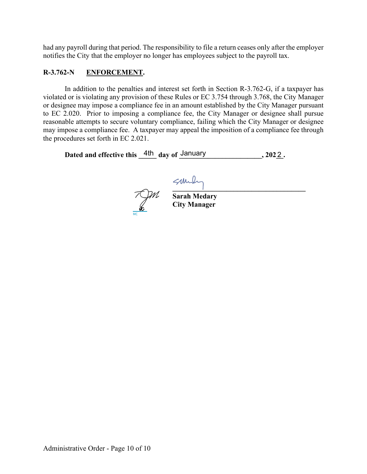had any payroll during that period. The responsibility to file a return ceases only after the employer notifies the City that the employer no longer has employees subject to the payroll tax.

## **R-3.762-N ENFORCEMENT.**

In addition to the penalties and interest set forth in Section R-3.762-G, if a taxpayer has violated or is violating any provision of these Rules or EC 3.754 through 3.768, the City Manager or designee may impose a compliance fee in an amount established by the City Manager pursuant to EC 2.020. Prior to imposing a compliance fee, the City Manager or designee shall pursue reasonable attempts to secure voluntary compliance, failing which the City Manager or designee may impose a compliance fee. A taxpayer may appeal the imposition of a compliance fee through the procedures set forth in EC 2.021.

Dated and effective this  $\frac{4\text{th}}{4}$  day of  $\frac{\text{January}}{4}$ , 2022.

 $\leftarrow$   $\leftarrow$   $\leftarrow$   $\leftarrow$   $\leftarrow$   $\leftarrow$   $\leftarrow$   $\leftarrow$   $\leftarrow$   $\leftarrow$   $\leftarrow$   $\leftarrow$   $\leftarrow$   $\leftarrow$   $\leftarrow$   $\leftarrow$   $\leftarrow$   $\leftarrow$   $\leftarrow$   $\leftarrow$   $\leftarrow$   $\leftarrow$   $\leftarrow$   $\leftarrow$   $\leftarrow$   $\leftarrow$   $\leftarrow$   $\leftarrow$   $\leftarrow$   $\leftarrow$   $\leftarrow$   $\leftarrow$   $\leftarrow$   $\leftarrow$   $\leftarrow$   $\leftarrow$   $\leftarrow$ MC

 **Sarah Medary City Manager**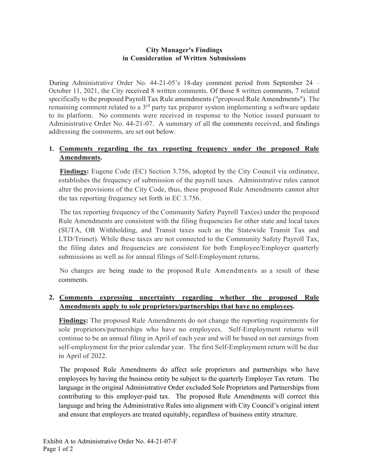## **City Manager's Findings in Consideration of Written Submissions**

During Administrative Order No. 44-21-05's 18-day comment period from September 24 – October 11, 2021, the City received 8 written comments. Of those 8 written comments, 7 related specifically to the proposed Payroll Tax Rule amendments ("proposed Rule Amendments"). The remaining comment related to a 3<sup>rd</sup> party tax preparer system implementing a software update to its platform. No comments were received in response to the Notice issued pursuant to Administrative Order No. 44-21-07. A summary of all the comments received, and findings addressing the comments, are set out below.

## **1. Comments regarding the tax reporting frequency under the proposed Rule Amendments.**

**Findings:** Eugene Code (EC) Section 3.756, adopted by the City Council via ordinance, establishes the frequency of submission of the payroll taxes. Administrative rules cannot alter the provisions of the City Code, thus, these proposed Rule Amendments cannot alter the tax reporting frequency set forth in EC 3.756.

The tax reporting frequency of the Community Safety Payroll Tax(es) under the proposed Rule Amendments are consistent with the filing frequencies for other state and local taxes (SUTA, OR Withholding, and Transit taxes such as the Statewide Transit Tax and LTD/Trimet). While these taxes are not connected to the Community Safety Payroll Tax, the filing dates and frequencies are consistent for both Employee/Employer quarterly submissions as well as for annual filings of Self-Employment returns.

No changes are being made to the proposed Rule Amendments as a result of these comments.

## **2. Comments expressing uncertainty regarding whether the proposed Rule Amendments apply to sole proprietors/partnerships that have no employees.**

**Findings:** The proposed Rule Amendments do not change the reporting requirements for sole proprietors/partnerships who have no employees. Self-Employment returns will continue to be an annual filing in April of each year and will be based on net earnings from self-employment for the prior calendar year. The first Self-Employment return will be due in April of 2022.

The proposed Rule Amendments do affect sole proprietors and partnerships who have employees by having the business entity be subject to the quarterly Employer Tax return. The language in the original Administrative Order excluded Sole Proprietors and Partnerships from contributing to this employer-paid tax. The proposed Rule Amendments will correct this language and bring the Administrative Rules into alignment with City Council's original intent and ensure that employers are treated equitably, regardless of business entity structure.